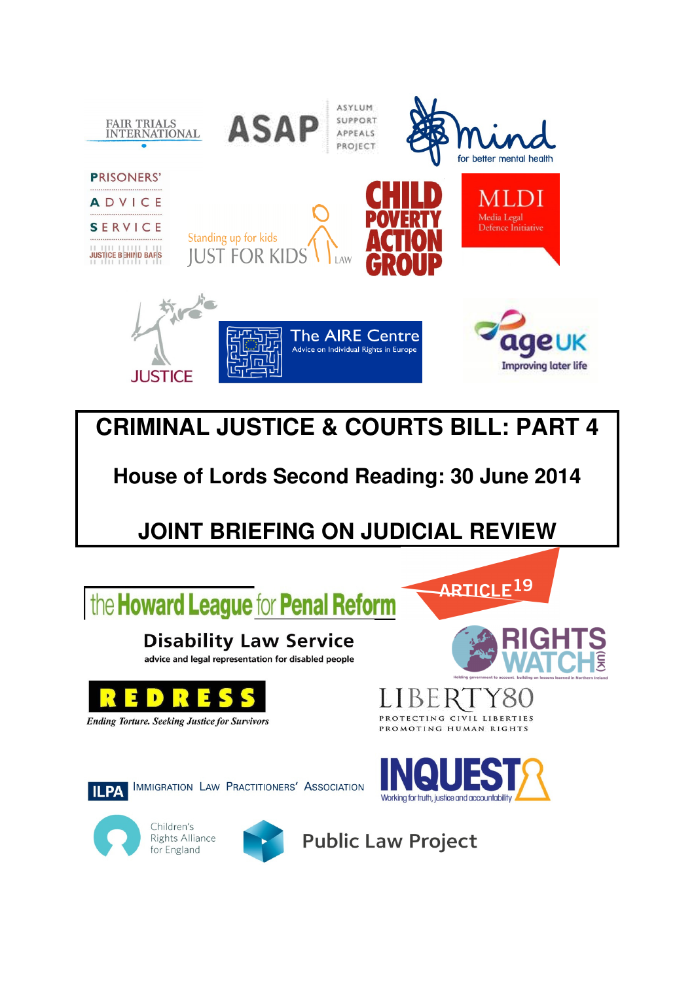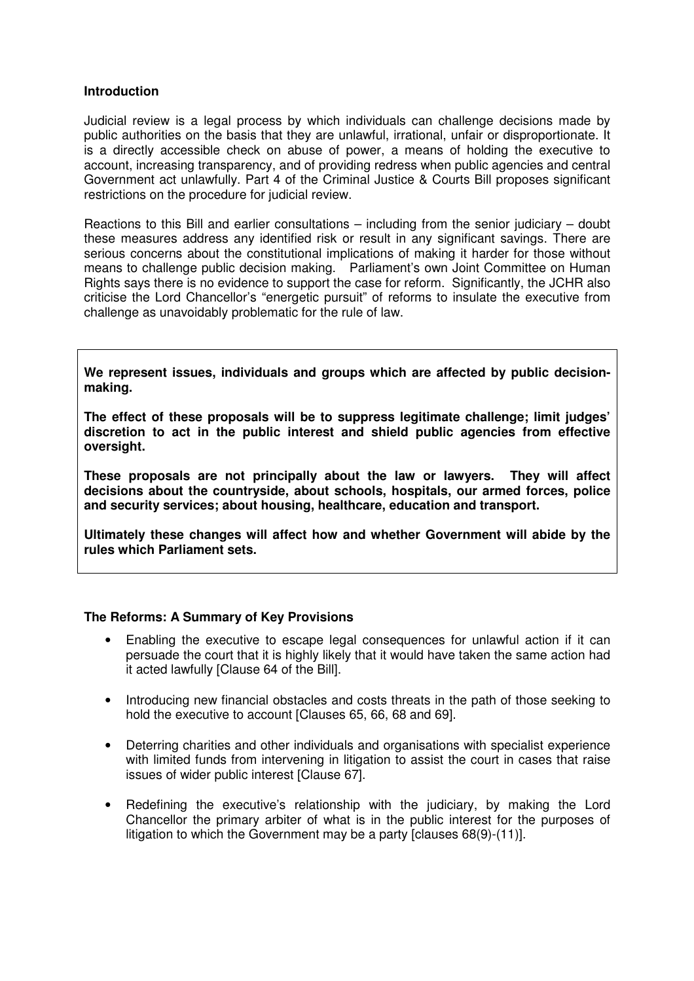#### **Introduction**

Judicial review is a legal process by which individuals can challenge decisions made by public authorities on the basis that they are unlawful, irrational, unfair or disproportionate. It is a directly accessible check on abuse of power, a means of holding the executive to account, increasing transparency, and of providing redress when public agencies and central Government act unlawfully. Part 4 of the Criminal Justice & Courts Bill proposes significant restrictions on the procedure for judicial review.

Reactions to this Bill and earlier consultations – including from the senior judiciary – doubt these measures address any identified risk or result in any significant savings. There are serious concerns about the constitutional implications of making it harder for those without means to challenge public decision making. Parliament's own Joint Committee on Human Rights says there is no evidence to support the case for reform. Significantly, the JCHR also criticise the Lord Chancellor's "energetic pursuit" of reforms to insulate the executive from challenge as unavoidably problematic for the rule of law.

**We represent issues, individuals and groups which are affected by public decisionmaking.** 

**The effect of these proposals will be to suppress legitimate challenge; limit judges' discretion to act in the public interest and shield public agencies from effective oversight.** 

**These proposals are not principally about the law or lawyers. They will affect decisions about the countryside, about schools, hospitals, our armed forces, police and security services; about housing, healthcare, education and transport.** 

**Ultimately these changes will affect how and whether Government will abide by the rules which Parliament sets.** 

#### **The Reforms: A Summary of Key Provisions**

- Enabling the executive to escape legal consequences for unlawful action if it can persuade the court that it is highly likely that it would have taken the same action had it acted lawfully [Clause 64 of the Bill].
- Introducing new financial obstacles and costs threats in the path of those seeking to hold the executive to account [Clauses 65, 66, 68 and 69].
- Deterring charities and other individuals and organisations with specialist experience with limited funds from intervening in litigation to assist the court in cases that raise issues of wider public interest [Clause 67].
- Redefining the executive's relationship with the judiciary, by making the Lord Chancellor the primary arbiter of what is in the public interest for the purposes of litigation to which the Government may be a party [clauses 68(9)-(11)].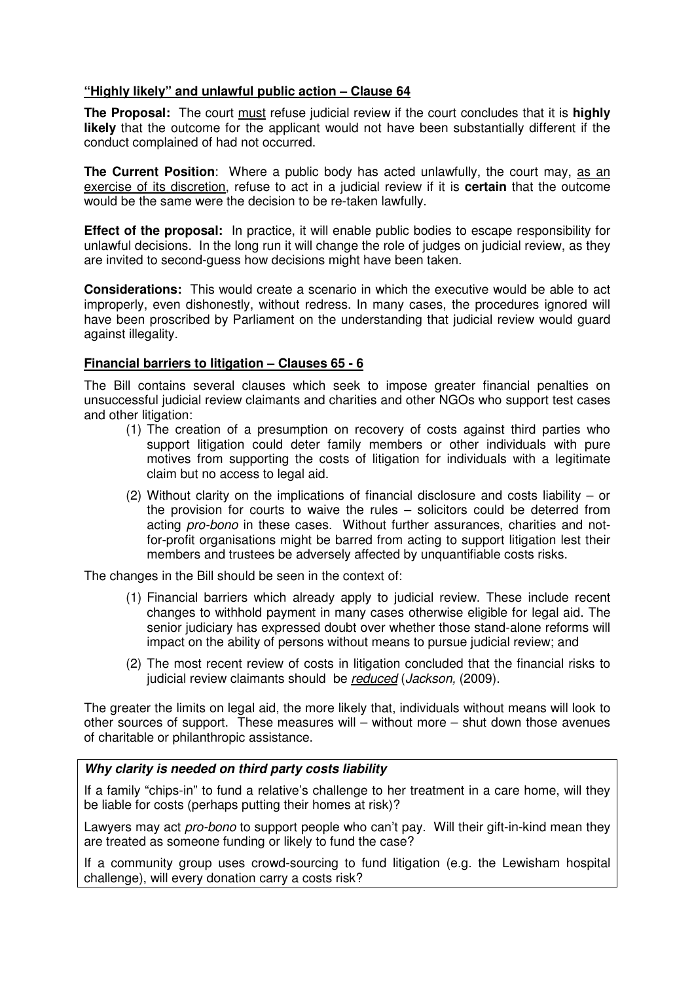## **"Highly likely" and unlawful public action – Clause 64**

**The Proposal:** The court must refuse judicial review if the court concludes that it is **highly likely** that the outcome for the applicant would not have been substantially different if the conduct complained of had not occurred.

**The Current Position:** Where a public body has acted unlawfully, the court may, as an exercise of its discretion, refuse to act in a judicial review if it is **certain** that the outcome would be the same were the decision to be re-taken lawfully.

**Effect of the proposal:** In practice, it will enable public bodies to escape responsibility for unlawful decisions. In the long run it will change the role of judges on judicial review, as they are invited to second-guess how decisions might have been taken.

**Considerations:** This would create a scenario in which the executive would be able to act improperly, even dishonestly, without redress. In many cases, the procedures ignored will have been proscribed by Parliament on the understanding that judicial review would guard against illegality.

## **Financial barriers to litigation – Clauses 65 - 6**

The Bill contains several clauses which seek to impose greater financial penalties on unsuccessful judicial review claimants and charities and other NGOs who support test cases and other litigation:

- (1) The creation of a presumption on recovery of costs against third parties who support litigation could deter family members or other individuals with pure motives from supporting the costs of litigation for individuals with a legitimate claim but no access to legal aid.
- (2) Without clarity on the implications of financial disclosure and costs liability or the provision for courts to waive the rules – solicitors could be deterred from acting pro-bono in these cases. Without further assurances, charities and notfor-profit organisations might be barred from acting to support litigation lest their members and trustees be adversely affected by unquantifiable costs risks.

The changes in the Bill should be seen in the context of:

- (1) Financial barriers which already apply to judicial review. These include recent changes to withhold payment in many cases otherwise eligible for legal aid. The senior judiciary has expressed doubt over whether those stand-alone reforms will impact on the ability of persons without means to pursue judicial review; and
- (2) The most recent review of costs in litigation concluded that the financial risks to judicial review claimants should be reduced (Jackson, (2009).

The greater the limits on legal aid, the more likely that, individuals without means will look to other sources of support. These measures will – without more – shut down those avenues of charitable or philanthropic assistance.

#### **Why clarity is needed on third party costs liability**

If a family "chips-in" to fund a relative's challenge to her treatment in a care home, will they be liable for costs (perhaps putting their homes at risk)?

Lawyers may act *pro-bono* to support people who can't pay. Will their gift-in-kind mean they are treated as someone funding or likely to fund the case?

If a community group uses crowd-sourcing to fund litigation (e.g. the Lewisham hospital challenge), will every donation carry a costs risk?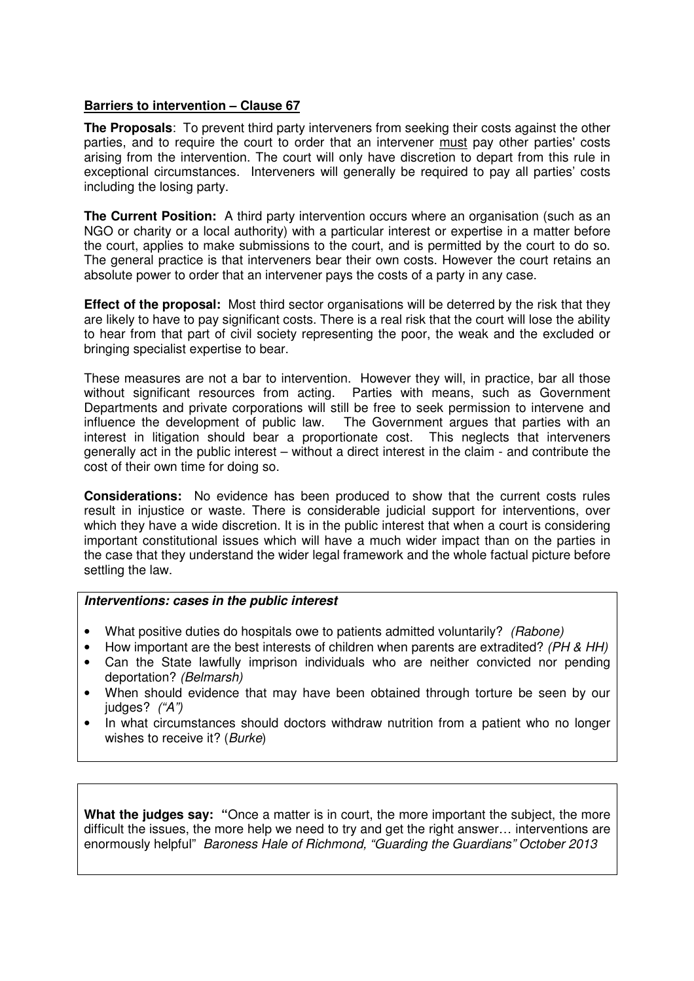## **Barriers to intervention – Clause 67**

**The Proposals**: To prevent third party interveners from seeking their costs against the other parties, and to require the court to order that an intervener must pay other parties' costs arising from the intervention. The court will only have discretion to depart from this rule in exceptional circumstances. Interveners will generally be required to pay all parties' costs including the losing party.

**The Current Position:** A third party intervention occurs where an organisation (such as an NGO or charity or a local authority) with a particular interest or expertise in a matter before the court, applies to make submissions to the court, and is permitted by the court to do so. The general practice is that interveners bear their own costs. However the court retains an absolute power to order that an intervener pays the costs of a party in any case.

**Effect of the proposal:** Most third sector organisations will be deterred by the risk that they are likely to have to pay significant costs. There is a real risk that the court will lose the ability to hear from that part of civil society representing the poor, the weak and the excluded or bringing specialist expertise to bear.

These measures are not a bar to intervention. However they will, in practice, bar all those without significant resources from acting. Parties with means, such as Government Departments and private corporations will still be free to seek permission to intervene and influence the development of public law. The Government argues that parties with an interest in litigation should bear a proportionate cost. This neglects that interveners generally act in the public interest – without a direct interest in the claim - and contribute the cost of their own time for doing so.

**Considerations:** No evidence has been produced to show that the current costs rules result in injustice or waste. There is considerable judicial support for interventions, over which they have a wide discretion. It is in the public interest that when a court is considering important constitutional issues which will have a much wider impact than on the parties in the case that they understand the wider legal framework and the whole factual picture before settling the law.

#### **Interventions: cases in the public interest**

- What positive duties do hospitals owe to patients admitted voluntarily? (Rabone)
- How important are the best interests of children when parents are extradited? (PH & HH)
- Can the State lawfully imprison individuals who are neither convicted nor pending deportation? (Belmarsh)
- When should evidence that may have been obtained through torture be seen by our judges? ("A")
- In what circumstances should doctors withdraw nutrition from a patient who no longer wishes to receive it? (Burke)

**What the judges say: "**Once a matter is in court, the more important the subject, the more difficult the issues, the more help we need to try and get the right answer… interventions are enormously helpful" Baroness Hale of Richmond, "Guarding the Guardians" October 2013